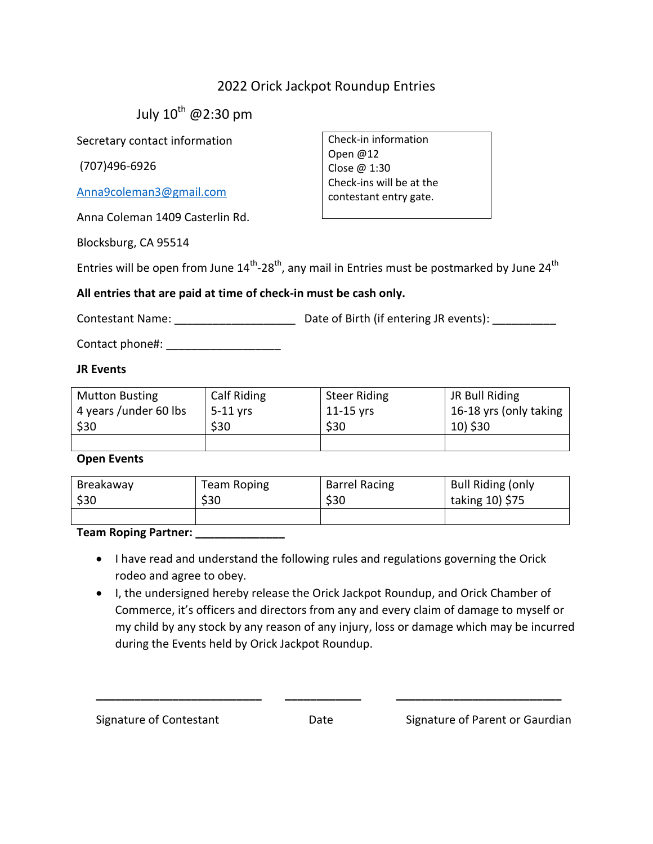## 2022 Orick Jackpot Roundup Entries

Check-in information

Check-ins will be at the contestant entry gate.

Open @12 Close @ 1:30

July  $10^{th}$  @2:30 pm

Secretary contact information

(707)496-6926

[Anna9coleman3@gmail.com](mailto:Anna9coleman3@gmail.com)

Anna Coleman 1409 Casterlin Rd.

Blocksburg, CA 95514

Entries will be open from June 14<sup>th</sup>-28<sup>th</sup>, any mail in Entries must be postmarked by June 24<sup>th</sup>

### **All entries that are paid at time of check-in must be cash only.**

Contestant Name:  $\Box$  Date of Birth (if entering JR events):

Contact phone#: \_\_\_\_\_\_\_\_\_\_\_\_\_\_\_\_\_\_

### **JR Events**

| <b>Mutton Busting</b>  | Calf Riding | <b>Steer Riding</b> | JR Bull Riding         |
|------------------------|-------------|---------------------|------------------------|
| 4 years / under 60 lbs | $5-11$ yrs  | $11-15$ yrs         | 16-18 yrs (only taking |
| \$30                   | \$30        | \$30                | 10) \$30               |
|                        |             |                     |                        |

#### **Open Events**

| Breakaway | Team Roping | <b>Barrel Racing</b> | <b>Bull Riding (only</b> |
|-----------|-------------|----------------------|--------------------------|
| \$30      | \$30        | \$30                 | taking 10) \$75          |
|           |             |                      |                          |

**Team Roping Partner: \_\_\_\_\_\_\_\_\_\_\_\_\_\_**

- I have read and understand the following rules and regulations governing the Orick rodeo and agree to obey.
- I, the undersigned hereby release the Orick Jackpot Roundup, and Orick Chamber of Commerce, it's officers and directors from any and every claim of damage to myself or my child by any stock by any reason of any injury, loss or damage which may be incurred during the Events held by Orick Jackpot Roundup.

**\_\_\_\_\_\_\_\_\_\_\_\_\_\_\_\_\_\_\_\_\_\_\_\_\_\_ \_\_\_\_\_\_\_\_\_\_\_\_ \_\_\_\_\_\_\_\_\_\_\_\_\_\_\_\_\_\_\_\_\_\_\_\_\_\_**